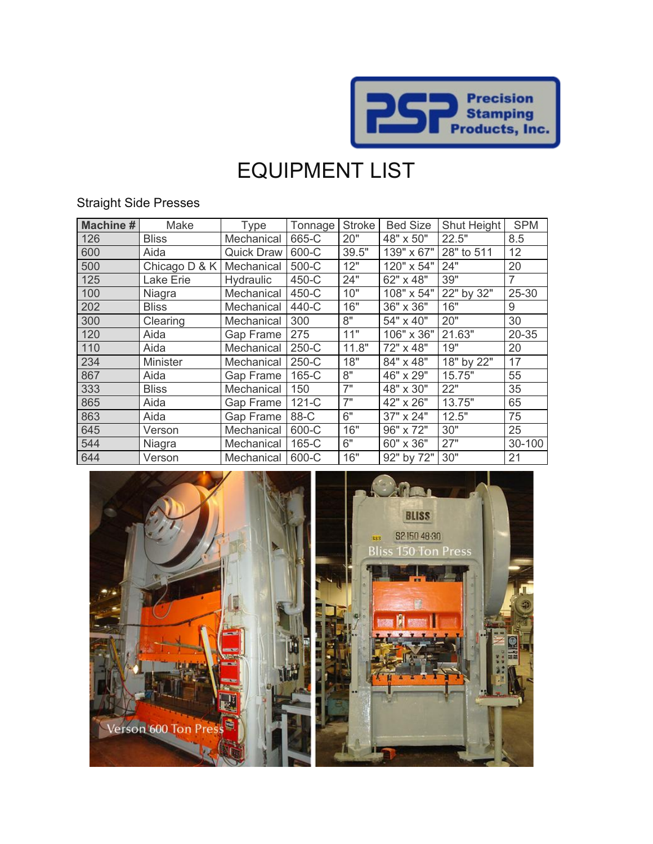

# EQUIPMENT LIST

### Straight Side Presses

| <b>Machine#</b> | Make            | Type              | Tonnage | <b>Stroke</b> | <b>Bed Size</b> | Shut Height | <b>SPM</b>     |
|-----------------|-----------------|-------------------|---------|---------------|-----------------|-------------|----------------|
| 126             | <b>Bliss</b>    | Mechanical        | 665-C   | 20"           | 48" x 50"       | 22.5"       | 8.5            |
| 600             | Aida            | <b>Quick Draw</b> | 600-C   | 39.5"         | 139" x 67"      | 28" to 511  | 12             |
| 500             | Chicago D & K   | Mechanical        | 500-C   | 12"           | 120" x 54"      | 24"         | 20             |
| 125             | Lake Erie       | Hydraulic         | 450-C   | 24"           | 62" x 48"       | 39"         | $\overline{7}$ |
| 100             | Niagra          | Mechanical        | 450-C   | 10"           | 108" x 54"      | 22" by 32"  | 25-30          |
| 202             | <b>Bliss</b>    | Mechanical        | 440-C   | 16"           | 36" x 36"       | 16"         | 9              |
| 300             | Clearing        | Mechanical        | 300     | 8"            | 54" x 40"       | 20"         | 30             |
| 120             | Aida            | Gap Frame         | 275     | 11"           | 106" x 36"      | 21.63"      | 20-35          |
| 110             | Aida            | Mechanical        | 250-C   | 11.8"         | 72" x 48"       | 19"         | 20             |
| 234             | <b>Minister</b> | Mechanical        | 250-C   | 18"           | 84" x 48"       | 18" by 22"  | 17             |
| 867             | Aida            | Gap Frame         | 165-C   | 8"            | 46" x 29"       | 15.75"      | 55             |
| 333             | <b>Bliss</b>    | Mechanical        | 150     | 7"            | 48" x 30"       | 22"         | 35             |
| 865             | Aida            | Gap Frame         | $121-C$ | 7"            | 42" x 26"       | 13.75"      | 65             |
| 863             | Aida            | Gap Frame         | 88-C    | 6"            | 37" x 24"       | 12.5"       | 75             |
| 645             | Verson          | Mechanical        | 600-C   | 16"           | 96" x 72"       | 30"         | 25             |
| 544             | Niagra          | Mechanical        | 165-C   | 6"            | 60" x 36"       | 27"         | 30-100         |
| 644             | Verson          | Mechanical        | 600-C   | 16"           | 92" by 72"      | 30"         | 21             |

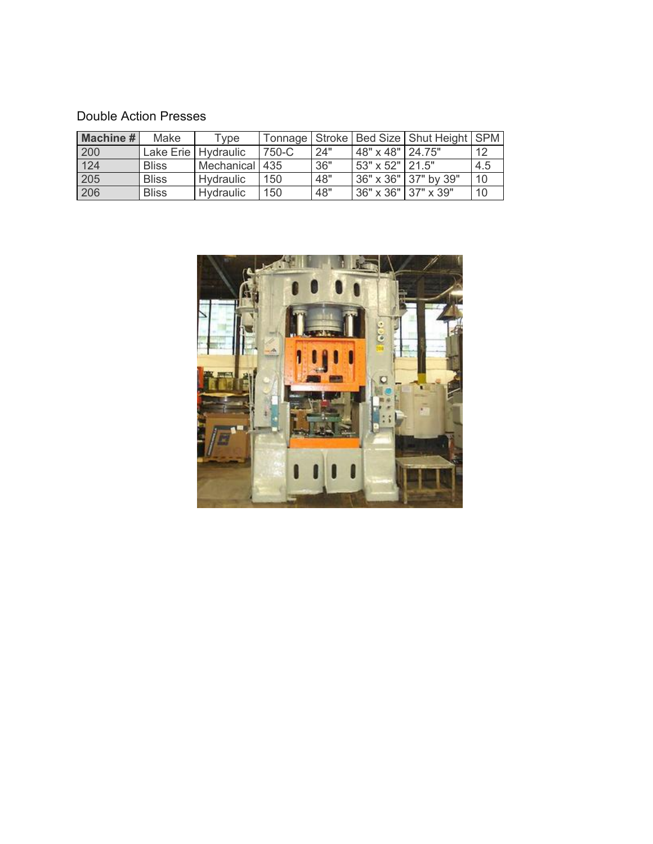#### Double Action Presses

| <b>Machine #</b> | Make         | Tvpe                  |       |     |                     | Tonnage   Stroke   Bed Size   Shut Height   SPM |     |
|------------------|--------------|-----------------------|-------|-----|---------------------|-------------------------------------------------|-----|
| 200              |              | Lake Erie   Hydraulic | 750-C | 24" | 48" x 48" 24.75"    |                                                 | 12  |
| 124              | <b>Bliss</b> | Mechanical 435        |       | 36" | 53" x 52" 21.5"     |                                                 | 4.5 |
| 205              | <b>Bliss</b> | Hydraulic             | 150   | 48" |                     | 36" x 36" 37" by 39"                            | 10  |
| 206              | <b>Bliss</b> | Hydraulic             | 150   | 48" | 36" x 36" 37" x 39" |                                                 | 10  |

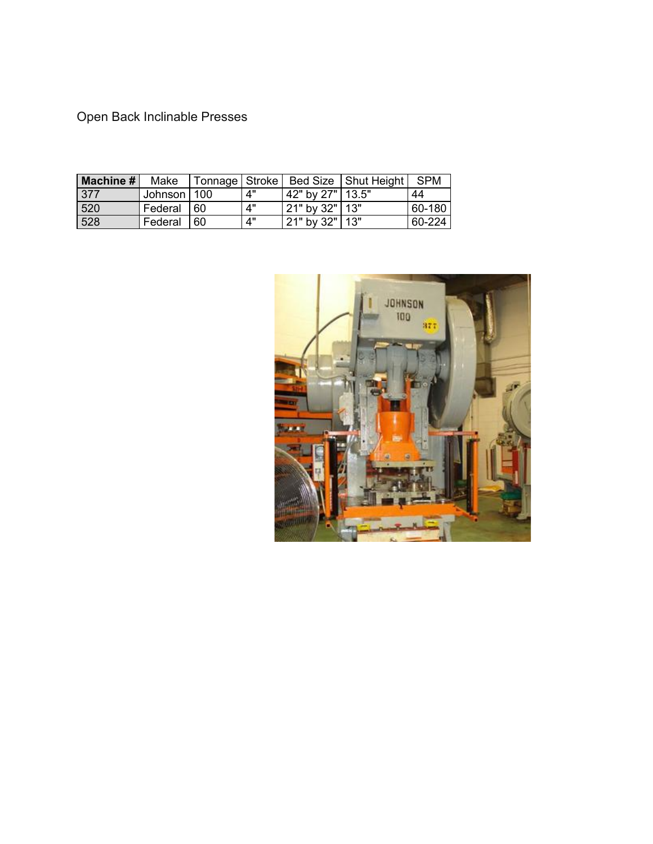Open Back Inclinable Presses

| Machine # | Make          |     |    |                    | Tonnage   Stroke   Bed Size   Shut Height   SPM |        |
|-----------|---------------|-----|----|--------------------|-------------------------------------------------|--------|
| 377       | Johnson   100 |     | Δ" | 42" by 27"   13.5" |                                                 | 44     |
| 520       | Federal       | -60 | 4" | 21" by 32"   13"   |                                                 | 60-180 |
| 528       | Federal       | 60  | 4" | 21" by 32"   13"   |                                                 | 60-224 |

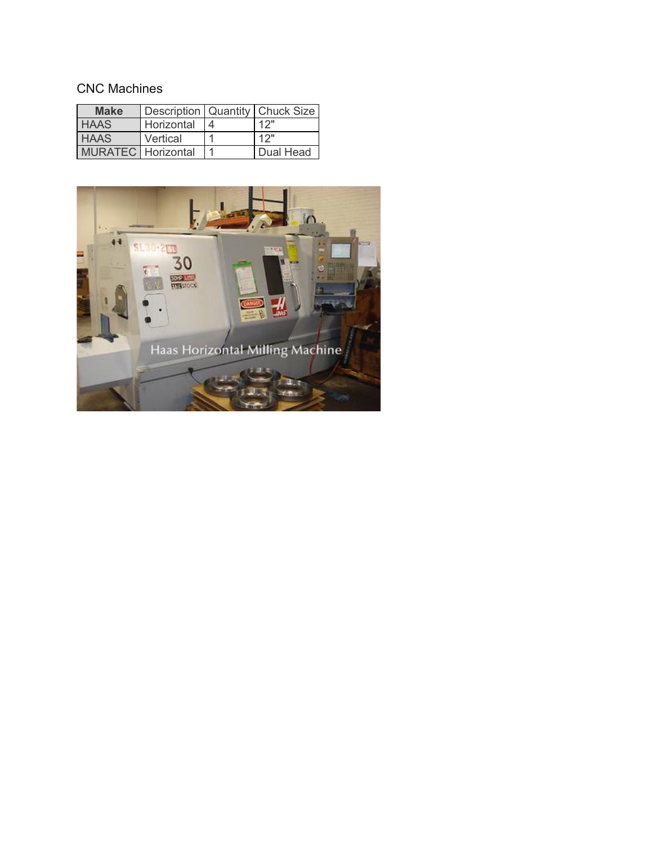## CNC Machines

| <b>Make</b>               |            | Description   Quantity   Chuck Size |
|---------------------------|------------|-------------------------------------|
| <b>HAAS</b>               | Horizontal | 12"                                 |
| <b>HAAS</b>               | Vertical   | 12"                                 |
| <b>MURATEC</b> Horizontal |            | Dual Head                           |

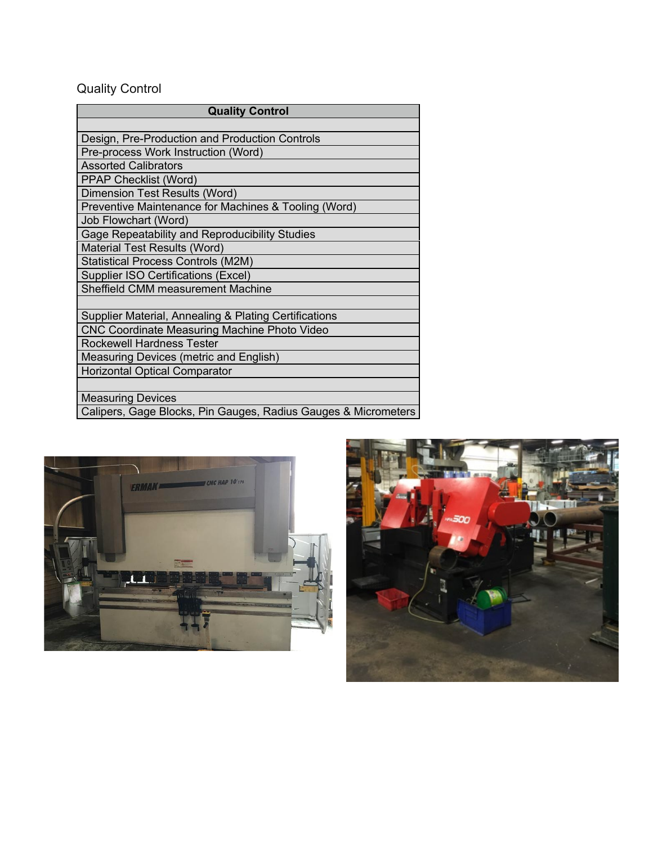# Quality Control

| <b>Quality Control</b>                                         |  |  |  |  |
|----------------------------------------------------------------|--|--|--|--|
|                                                                |  |  |  |  |
| Design, Pre-Production and Production Controls                 |  |  |  |  |
| Pre-process Work Instruction (Word)                            |  |  |  |  |
| <b>Assorted Calibrators</b>                                    |  |  |  |  |
| <b>PPAP Checklist (Word)</b>                                   |  |  |  |  |
| Dimension Test Results (Word)                                  |  |  |  |  |
| Preventive Maintenance for Machines & Tooling (Word)           |  |  |  |  |
| Job Flowchart (Word)                                           |  |  |  |  |
| Gage Repeatability and Reproducibility Studies                 |  |  |  |  |
| Material Test Results (Word)                                   |  |  |  |  |
| <b>Statistical Process Controls (M2M)</b>                      |  |  |  |  |
| <b>Supplier ISO Certifications (Excel)</b>                     |  |  |  |  |
| Sheffield CMM measurement Machine                              |  |  |  |  |
|                                                                |  |  |  |  |
| Supplier Material, Annealing & Plating Certifications          |  |  |  |  |
| <b>CNC Coordinate Measuring Machine Photo Video</b>            |  |  |  |  |
| <b>Rockewell Hardness Tester</b>                               |  |  |  |  |
| Measuring Devices (metric and English)                         |  |  |  |  |
| <b>Horizontal Optical Comparator</b>                           |  |  |  |  |
|                                                                |  |  |  |  |
| <b>Measuring Devices</b>                                       |  |  |  |  |
| Calipers, Gage Blocks, Pin Gauges, Radius Gauges & Micrometers |  |  |  |  |